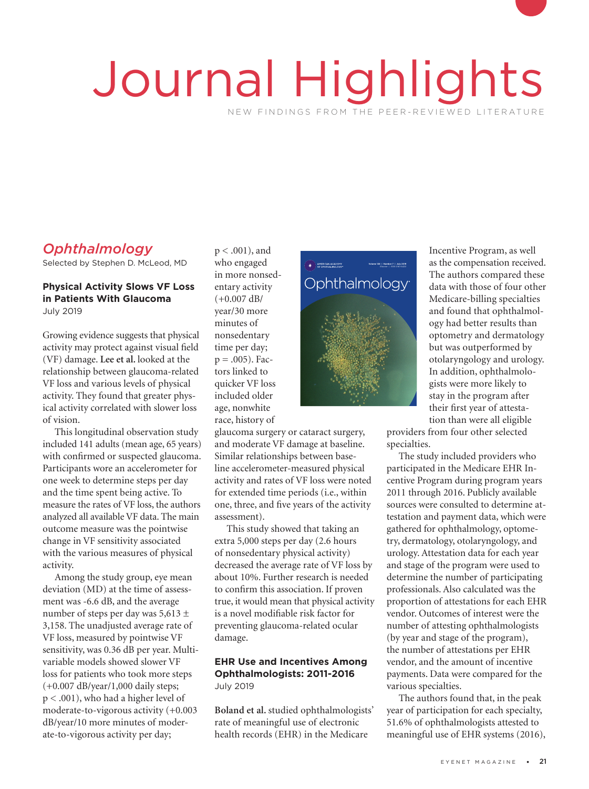# Journal Highlights NEW FINDINGS FROM THE PEER-REVIEWED LITERATURE

# *Ophthalmology*

Selected by Stephen D. McLeod, MD

#### **Physical Activity Slows VF Loss in Patients With Glaucoma** July 2019

Growing evidence suggests that physical activity may protect against visual field (VF) damage. **Lee et al.** looked at the relationship between glaucoma-related VF loss and various levels of physical activity. They found that greater physical activity correlated with slower loss of vision.

This longitudinal observation study included 141 adults (mean age, 65 years) with confirmed or suspected glaucoma. Participants wore an accelerometer for one week to determine steps per day and the time spent being active. To measure the rates of VF loss, the authors analyzed all available VF data. The main outcome measure was the pointwise change in VF sensitivity associated with the various measures of physical activity.

Among the study group, eye mean deviation (MD) at the time of assessment was -6.6 dB, and the average number of steps per day was 5,613 ± 3,158. The unadjusted average rate of VF loss, measured by pointwise VF sensitivity, was 0.36 dB per year. Multivariable models showed slower VF loss for patients who took more steps (+0.007 dB/year/1,000 daily steps; p < .001), who had a higher level of moderate-to-vigorous activity (+0.003 dB/year/10 more minutes of moderate-to-vigorous activity per day;

p < .001), and who engaged in more nonsedentary activity  $(+0.007$  dB/ year/30 more year/50 mo<br>minutes of<br>time per da nonsedentary time per day;  $p = .005$ ). Factors linked to quicker VF loss included older age, nonwhite race, history of

glaucoma surgery or cataract surgery, and moderate VF damage at baseline. Similar relationships between baseline accelerometer-measured physical activity and rates of VF loss were noted for extended time periods (i.e., within one, three, and five years of the activity assessment).

This study showed that taking an extra 5,000 steps per day (2.6 hours of nonsedentary physical activity) decreased the average rate of VF loss by about 10%. Further research is needed to confirm this association. If proven true, it would mean that physical activity is a novel modifiable risk factor for preventing glaucoma-related ocular damage.

#### **EHR Use and Incentives Among Ophthalmologists: 2011-2016**  July 2019

**Boland et al.** studied ophthalmologists' rate of meaningful use of electronic health records (EHR) in the Medicare



Incentive Program, as well as the compensation received. The authors compared these data with those of four other Medicare-billing specialties and found that ophthalmology had better results than optometry and dermatology but was outperformed by otolaryngology and urology. In addition, ophthalmologists were more likely to stay in the program after their first year of attestation than were all eligible

providers from four other selected specialties.

The study included providers who participated in the Medicare EHR Incentive Program during program years 2011 through 2016. Publicly available sources were consulted to determine attestation and payment data, which were gathered for ophthalmology, optometry, dermatology, otolaryngology, and urology. Attestation data for each year and stage of the program were used to determine the number of participating professionals. Also calculated was the proportion of attestations for each EHR vendor. Outcomes of interest were the number of attesting ophthalmologists (by year and stage of the program), the number of attestations per EHR vendor, and the amount of incentive payments. Data were compared for the various specialties.

The authors found that, in the peak year of participation for each specialty, 51.6% of ophthalmologists attested to meaningful use of EHR systems (2016),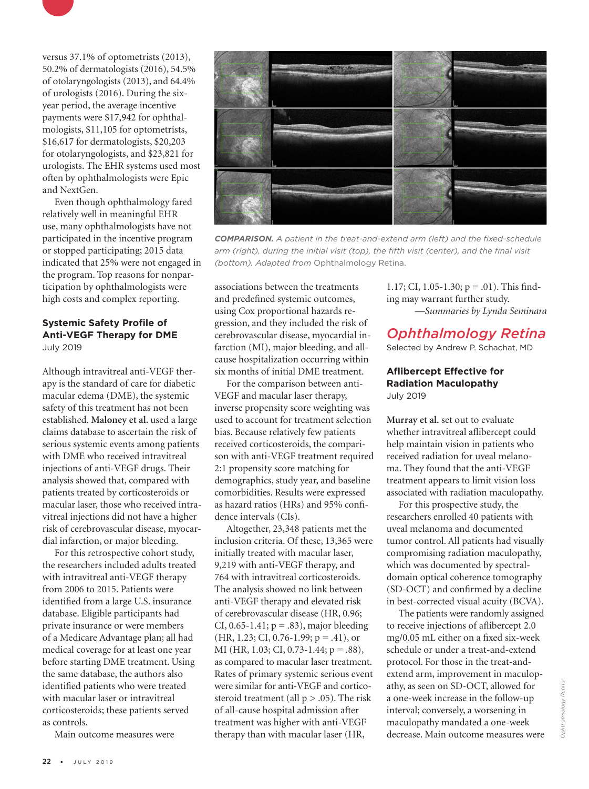

versus 37.1% of optometrists (2013), 50.2% of dermatologists (2016), 54.5% of otolaryngologists (2013), and 64.4% of urologists (2016). During the sixyear period, the average incentive payments were \$17,942 for ophthalmologists, \$11,105 for optometrists, \$16,617 for dermatologists, \$20,203 for otolaryngologists, and \$23,821 for urologists. The EHR systems used most often by ophthalmologists were Epic and NextGen.

Even though ophthalmology fared relatively well in meaningful EHR use, many ophthalmologists have not participated in the incentive program or stopped participating; 2015 data indicated that 25% were not engaged in the program. Top reasons for nonparticipation by ophthalmologists were high costs and complex reporting.

#### **Systemic Safety Profile of Anti-VEGF Therapy for DME** July 2019

Although intravitreal anti-VEGF therapy is the standard of care for diabetic macular edema (DME), the systemic safety of this treatment has not been established. **Maloney et al.** used a large claims database to ascertain the risk of serious systemic events among patients with DME who received intravitreal injections of anti-VEGF drugs. Their analysis showed that, compared with patients treated by corticosteroids or macular laser, those who received intravitreal injections did not have a higher risk of cerebrovascular disease, myocardial infarction, or major bleeding.

For this retrospective cohort study, the researchers included adults treated with intravitreal anti-VEGF therapy from 2006 to 2015. Patients were identified from a large U.S. insurance database. Eligible participants had private insurance or were members of a Medicare Advantage plan; all had medical coverage for at least one year before starting DME treatment. Using the same database, the authors also identified patients who were treated with macular laser or intravitreal corticosteroids; these patients served as controls.

Main outcome measures were



*COMPARISON. A patient in the treat-and-extend arm (left) and the fixed-schedule arm (right), during the initial visit (top), the fifth visit (center), and the final visit (bottom). Adapted from* Ophthalmology Retina.

associations between the treatments and predefined systemic outcomes, using Cox proportional hazards regression, and they included the risk of cerebrovascular disease, myocardial infarction (MI), major bleeding, and allcause hospitalization occurring within six months of initial DME treatment.

For the comparison between anti-VEGF and macular laser therapy, inverse propensity score weighting was used to account for treatment selection bias. Because relatively few patients received corticosteroids, the comparison with anti-VEGF treatment required 2:1 propensity score matching for demographics, study year, and baseline comorbidities. Results were expressed as hazard ratios (HRs) and 95% confidence intervals (CIs).

Altogether, 23,348 patients met the inclusion criteria. Of these, 13,365 were initially treated with macular laser, 9,219 with anti-VEGF therapy, and 764 with intravitreal corticosteroids. The analysis showed no link between anti-VEGF therapy and elevated risk of cerebrovascular disease (HR, 0.96; CI, 0.65-1.41;  $p = .83$ ), major bleeding  $(HR, 1.23; CI, 0.76-1.99; p = .41)$ , or MI (HR, 1.03; CI, 0.73-1.44; p = .88), as compared to macular laser treatment. Rates of primary systemic serious event were similar for anti-VEGF and corticosteroid treatment (all  $p > .05$ ). The risk of all-cause hospital admission after treatment was higher with anti-VEGF therapy than with macular laser (HR,

1.17; CI, 1.05-1.30;  $p = .01$ ). This finding may warrant further study. *—Summaries by Lynda Seminara*

# *Ophthalmology Retina*

Selected by Andrew P. Schachat, MD

#### **Aflibercept Effective for Radiation Maculopathy** July 2019

**Murray et al.** set out to evaluate whether intravitreal aflibercept could help maintain vision in patients who received radiation for uveal melanoma. They found that the anti-VEGF treatment appears to limit vision loss associated with radiation maculopathy.

For this prospective study, the researchers enrolled 40 patients with uveal melanoma and documented tumor control. All patients had visually compromising radiation maculopathy, which was documented by spectraldomain optical coherence tomography (SD-OCT) and confirmed by a decline in best-corrected visual acuity (BCVA).

The patients were randomly assigned to receive injections of aflibercept 2.0 mg/0.05 mL either on a fixed six-week schedule or under a treat-and-extend protocol. For those in the treat-andextend arm, improvement in maculopathy, as seen on SD-OCT, allowed for a one-week increase in the follow-up interval; conversely, a worsening in maculopathy mandated a one-week decrease. Main outcome measures were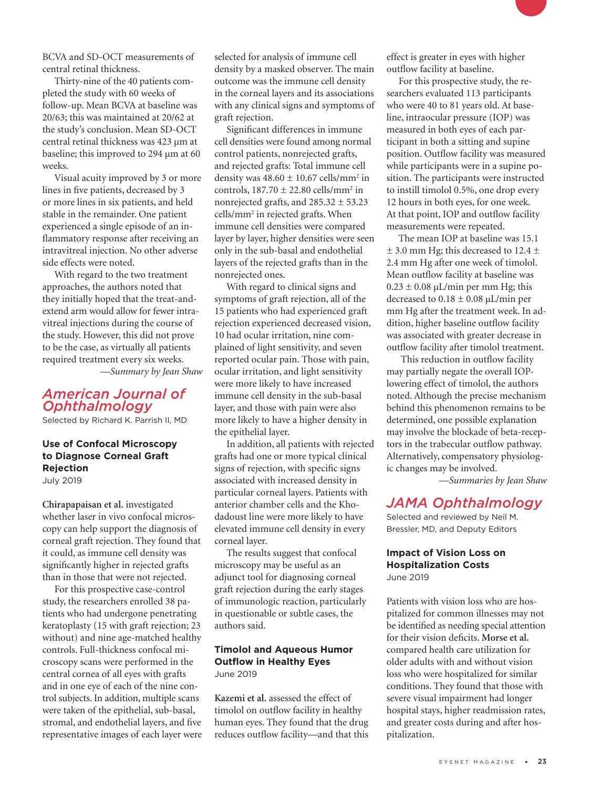BCVA and SD-OCT measurements of central retinal thickness.

Thirty-nine of the 40 patients completed the study with 60 weeks of follow-up. Mean BCVA at baseline was 20/63; this was maintained at 20/62 at the study's conclusion. Mean SD-OCT central retinal thickness was 423 µm at baseline; this improved to 294 µm at 60 weeks.

Visual acuity improved by 3 or more lines in five patients, decreased by 3 or more lines in six patients, and held stable in the remainder. One patient experienced a single episode of an inflammatory response after receiving an intravitreal injection. No other adverse side effects were noted.

With regard to the two treatment approaches, the authors noted that they initially hoped that the treat-andextend arm would allow for fewer intravitreal injections during the course of the study. However, this did not prove to be the case, as virtually all patients required treatment every six weeks.

*—Summary by Jean Shaw*

## *American Journal of Ophthalmology*

Selected by Richard K. Parrish II, MD

#### **Use of Confocal Microscopy to Diagnose Corneal Graft Rejection** July 2019

**Chirapapaisan et al.** investigated whether laser in vivo confocal microscopy can help support the diagnosis of corneal graft rejection. They found that it could, as immune cell density was significantly higher in rejected grafts than in those that were not rejected.

For this prospective case-control study, the researchers enrolled 38 patients who had undergone penetrating keratoplasty (15 with graft rejection; 23 without) and nine age-matched healthy controls. Full-thickness confocal microscopy scans were performed in the central cornea of all eyes with grafts and in one eye of each of the nine control subjects. In addition, multiple scans were taken of the epithelial, sub-basal, stromal, and endothelial layers, and five representative images of each layer were selected for analysis of immune cell density by a masked observer. The main outcome was the immune cell density in the corneal layers and its associations with any clinical signs and symptoms of graft rejection.

Significant differences in immune cell densities were found among normal control patients, nonrejected grafts, and rejected grafts: Total immune cell density was  $48.60 \pm 10.67$  cells/mm<sup>2</sup> in controls,  $187.70 \pm 22.80$  cells/mm<sup>2</sup> in nonrejected grafts, and  $285.32 \pm 53.23$ cells/mm2 in rejected grafts. When immune cell densities were compared layer by layer, higher densities were seen only in the sub-basal and endothelial layers of the rejected grafts than in the nonrejected ones.

With regard to clinical signs and symptoms of graft rejection, all of the 15 patients who had experienced graft rejection experienced decreased vision, 10 had ocular irritation, nine complained of light sensitivity, and seven reported ocular pain. Those with pain, ocular irritation, and light sensitivity were more likely to have increased immune cell density in the sub-basal layer, and those with pain were also more likely to have a higher density in the epithelial layer.

In addition, all patients with rejected grafts had one or more typical clinical signs of rejection, with specific signs associated with increased density in particular corneal layers. Patients with anterior chamber cells and the Khodadoust line were more likely to have elevated immune cell density in every corneal layer.

The results suggest that confocal microscopy may be useful as an adjunct tool for diagnosing corneal graft rejection during the early stages of immunologic reaction, particularly in questionable or subtle cases, the authors said.

#### **Timolol and Aqueous Humor Outflow in Healthy Eyes** June 2019

**Kazemi et al.** assessed the effect of timolol on outflow facility in healthy human eyes. They found that the drug reduces outflow facility—and that this

effect is greater in eyes with higher outflow facility at baseline.

For this prospective study, the researchers evaluated 113 participants who were 40 to 81 years old. At baseline, intraocular pressure (IOP) was measured in both eyes of each participant in both a sitting and supine position. Outflow facility was measured while participants were in a supine position. The participants were instructed to instill timolol 0.5%, one drop every 12 hours in both eyes, for one week. At that point, IOP and outflow facility measurements were repeated.

The mean IOP at baseline was 15.1  $\pm$  3.0 mm Hg; this decreased to 12.4  $\pm$ 2.4 mm Hg after one week of timolol. Mean outflow facility at baseline was  $0.23 \pm 0.08 \mu L/min$  per mm Hg; this decreased to  $0.18 \pm 0.08$  µL/min per mm Hg after the treatment week. In addition, higher baseline outflow facility was associated with greater decrease in outflow facility after timolol treatment.

 This reduction in outflow facility may partially negate the overall IOPlowering effect of timolol, the authors noted. Although the precise mechanism behind this phenomenon remains to be determined, one possible explanation may involve the blockade of beta-receptors in the trabecular outflow pathway. Alternatively, compensatory physiologic changes may be involved.

*—Summaries by Jean Shaw*

## *JAMA Ophthalmology*

Selected and reviewed by Neil M. Bressler, MD, and Deputy Editors

#### **Impact of Vision Loss on Hospitalization Costs** June 2019

Patients with vision loss who are hospitalized for common illnesses may not be identified as needing special attention for their vision deficits. **Morse et al.**  compared health care utilization for older adults with and without vision loss who were hospitalized for similar conditions. They found that those with severe visual impairment had longer hospital stays, higher readmission rates, and greater costs during and after hospitalization.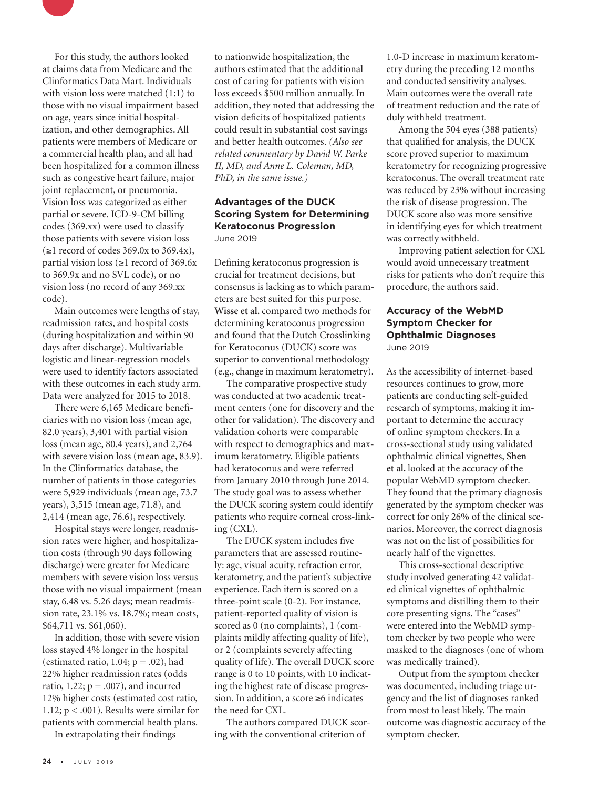

Main outcomes were lengths of stay, readmission rates, and hospital costs (during hospitalization and within 90 days after discharge). Multivariable logistic and linear-regression models were used to identify factors associated with these outcomes in each study arm. Data were analyzed for 2015 to 2018.

There were 6,165 Medicare beneficiaries with no vision loss (mean age, 82.0 years), 3,401 with partial vision loss (mean age, 80.4 years), and 2,764 with severe vision loss (mean age, 83.9). In the Clinformatics database, the number of patients in those categories were 5,929 individuals (mean age, 73.7 years), 3,515 (mean age, 71.8), and 2,414 (mean age, 76.6), respectively.

Hospital stays were longer, readmission rates were higher, and hospitalization costs (through 90 days following discharge) were greater for Medicare members with severe vision loss versus those with no visual impairment (mean stay, 6.48 vs. 5.26 days; mean readmission rate, 23.1% vs. 18.7%; mean costs, \$64,711 vs. \$61,060).

In addition, those with severe vision loss stayed 4% longer in the hospital (estimated ratio,  $1.04$ ;  $p = .02$ ), had 22% higher readmission rates (odds ratio, 1.22;  $p = .007$ ), and incurred 12% higher costs (estimated cost ratio, 1.12; p < .001). Results were similar for patients with commercial health plans.

In extrapolating their findings

to nationwide hospitalization, the authors estimated that the additional cost of caring for patients with vision loss exceeds \$500 million annually. In addition, they noted that addressing the vision deficits of hospitalized patients could result in substantial cost savings and better health outcomes. *(Also see related commentary by David W. Parke II, MD, and Anne L. Coleman, MD, PhD, in the same issue.)*

#### **Advantages of the DUCK Scoring System for Determining Keratoconus Progression** June 2019

Defining keratoconus progression is crucial for treatment decisions, but consensus is lacking as to which parameters are best suited for this purpose. **Wisse et al.** compared two methods for determining keratoconus progression and found that the Dutch Crosslinking for Keratoconus (DUCK) score was superior to conventional methodology (e.g., change in maximum keratometry).

The comparative prospective study was conducted at two academic treatment centers (one for discovery and the other for validation). The discovery and validation cohorts were comparable with respect to demographics and maximum keratometry. Eligible patients had keratoconus and were referred from January 2010 through June 2014. The study goal was to assess whether the DUCK scoring system could identify patients who require corneal cross-linking (CXL).

The DUCK system includes five parameters that are assessed routinely: age, visual acuity, refraction error, keratometry, and the patient's subjective experience. Each item is scored on a three-point scale (0-2). For instance, patient-reported quality of vision is scored as 0 (no complaints), 1 (complaints mildly affecting quality of life), or 2 (complaints severely affecting quality of life). The overall DUCK score range is 0 to 10 points, with 10 indicating the highest rate of disease progression. In addition, a score ≥6 indicates the need for CXL.

The authors compared DUCK scoring with the conventional criterion of

1.0-D increase in maximum keratometry during the preceding 12 months and conducted sensitivity analyses. Main outcomes were the overall rate of treatment reduction and the rate of duly withheld treatment.

Among the 504 eyes (388 patients) that qualified for analysis, the DUCK score proved superior to maximum keratometry for recognizing progressive keratoconus. The overall treatment rate was reduced by 23% without increasing the risk of disease progression. The DUCK score also was more sensitive in identifying eyes for which treatment was correctly withheld.

Improving patient selection for CXL would avoid unnecessary treatment risks for patients who don't require this procedure, the authors said.

#### **Accuracy of the WebMD Symptom Checker for Ophthalmic Diagnoses** June 2019

As the accessibility of internet-based resources continues to grow, more patients are conducting self-guided research of symptoms, making it important to determine the accuracy of online symptom checkers. In a cross-sectional study using validated ophthalmic clinical vignettes, **Shen et al.** looked at the accuracy of the popular WebMD symptom checker. They found that the primary diagnosis generated by the symptom checker was correct for only 26% of the clinical scenarios. Moreover, the correct diagnosis was not on the list of possibilities for nearly half of the vignettes.

This cross-sectional descriptive study involved generating 42 validated clinical vignettes of ophthalmic symptoms and distilling them to their core presenting signs. The "cases" were entered into the WebMD symptom checker by two people who were masked to the diagnoses (one of whom was medically trained).

Output from the symptom checker was documented, including triage urgency and the list of diagnoses ranked from most to least likely. The main outcome was diagnostic accuracy of the symptom checker.